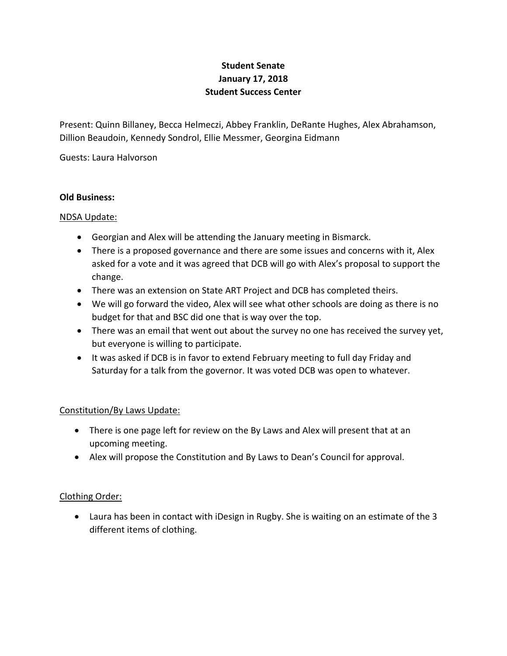# **Student Senate January 17, 2018 Student Success Center**

Present: Quinn Billaney, Becca Helmeczi, Abbey Franklin, DeRante Hughes, Alex Abrahamson, Dillion Beaudoin, Kennedy Sondrol, Ellie Messmer, Georgina Eidmann

Guests: Laura Halvorson

#### **Old Business:**

## NDSA Update:

- Georgian and Alex will be attending the January meeting in Bismarck.
- There is a proposed governance and there are some issues and concerns with it, Alex asked for a vote and it was agreed that DCB will go with Alex's proposal to support the change.
- There was an extension on State ART Project and DCB has completed theirs.
- We will go forward the video, Alex will see what other schools are doing as there is no budget for that and BSC did one that is way over the top.
- There was an email that went out about the survey no one has received the survey yet, but everyone is willing to participate.
- It was asked if DCB is in favor to extend February meeting to full day Friday and Saturday for a talk from the governor. It was voted DCB was open to whatever.

## Constitution/By Laws Update:

- There is one page left for review on the By Laws and Alex will present that at an upcoming meeting.
- Alex will propose the Constitution and By Laws to Dean's Council for approval.

## Clothing Order:

 Laura has been in contact with iDesign in Rugby. She is waiting on an estimate of the 3 different items of clothing.